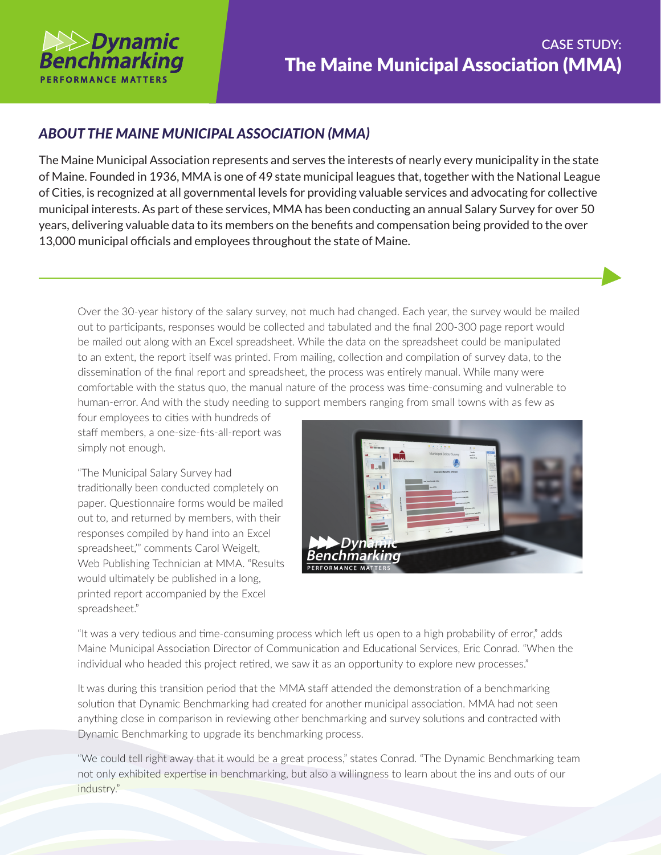

## *ABOUT THE MAINE MUNICIPAL ASSOCIATION (MMA)*

The Maine Municipal Association represents and serves the interests of nearly every municipality in the state of Maine. Founded in 1936, MMA is one of 49 state municipal leagues that, together with the National League of Cities, is recognized at all governmental levels for providing valuable services and advocating for collective municipal interests. As part of these services, MMA has been conducting an annual Salary Survey for over 50 years, delivering valuable data to its members on the benefits and compensation being provided to the over 13,000 municipal officials and employees throughout the state of Maine.

Over the 30-year history of the salary survey, not much had changed. Each year, the survey would be mailed out to participants, responses would be collected and tabulated and the final 200-300 page report would be mailed out along with an Excel spreadsheet. While the data on the spreadsheet could be manipulated to an extent, the report itself was printed. From mailing, collection and compilation of survey data, to the dissemination of the final report and spreadsheet, the process was entirely manual. While many were comfortable with the status quo, the manual nature of the process was time-consuming and vulnerable to human-error. And with the study needing to support members ranging from small towns with as few as

four employees to cities with hundreds of staff members, a one-size-fits-all-report was simply not enough.

"The Municipal Salary Survey had traditionally been conducted completely on paper. Questionnaire forms would be mailed out to, and returned by members, with their responses compiled by hand into an Excel spreadsheet,'" comments Carol Weigelt, Web Publishing Technician at MMA. "Results would ultimately be published in a long, printed report accompanied by the Excel spreadsheet."



"It was a very tedious and time-consuming process which left us open to a high probability of error," adds Maine Municipal Association Director of Communication and Educational Services, Eric Conrad. "When the individual who headed this project retired, we saw it as an opportunity to explore new processes."

It was during this transition period that the MMA staff attended the demonstration of a benchmarking solution that Dynamic Benchmarking had created for another municipal association. MMA had not seen anything close in comparison in reviewing other benchmarking and survey solutions and contracted with Dynamic Benchmarking to upgrade its benchmarking process.

"We could tell right away that it would be a great process," states Conrad. "The Dynamic Benchmarking team not only exhibited expertise in benchmarking, but also a willingness to learn about the ins and outs of our industry."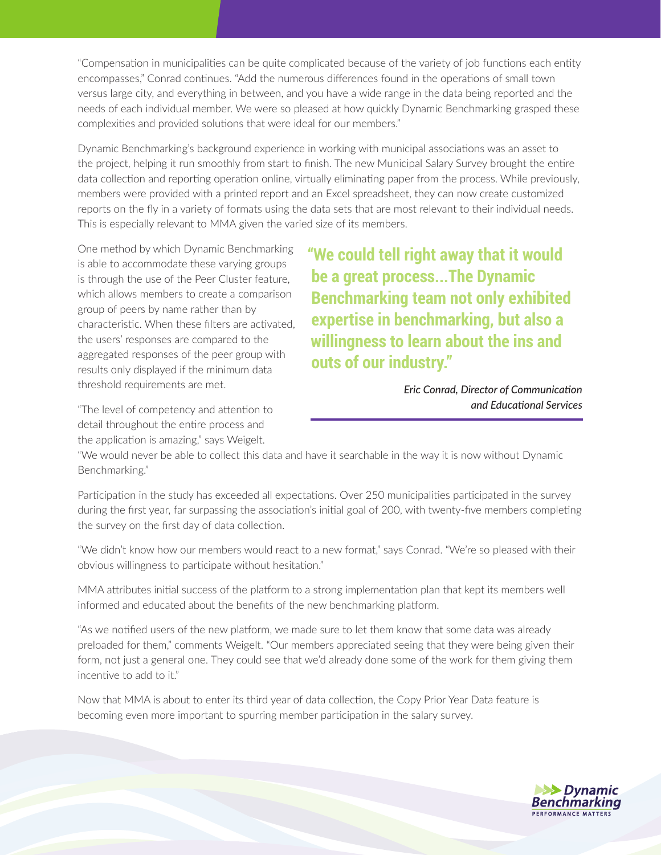"Compensation in municipalities can be quite complicated because of the variety of job functions each entity encompasses," Conrad continues. "Add the numerous differences found in the operations of small town versus large city, and everything in between, and you have a wide range in the data being reported and the needs of each individual member. We were so pleased at how quickly Dynamic Benchmarking grasped these complexities and provided solutions that were ideal for our members."

Dynamic Benchmarking's background experience in working with municipal associations was an asset to the project, helping it run smoothly from start to finish. The new Municipal Salary Survey brought the entire data collection and reporting operation online, virtually eliminating paper from the process. While previously, members were provided with a printed report and an Excel spreadsheet, they can now create customized reports on the fly in a variety of formats using the data sets that are most relevant to their individual needs. This is especially relevant to MMA given the varied size of its members.

One method by which Dynamic Benchmarking is able to accommodate these varying groups is through the use of the Peer Cluster feature, which allows members to create a comparison group of peers by name rather than by characteristic. When these filters are activated, the users' responses are compared to the aggregated responses of the peer group with results only displayed if the minimum data threshold requirements are met.

**"We could tell right away that it would be a great process...The Dynamic Benchmarking team not only exhibited expertise in benchmarking, but also a willingness to learn about the ins and outs of our industry."**

> *Eric Conrad, Director of Communication and Educational Services*

"The level of competency and attention to detail throughout the entire process and the application is amazing," says Weigelt.

"We would never be able to collect this data and have it searchable in the way it is now without Dynamic Benchmarking."

Participation in the study has exceeded all expectations. Over 250 municipalities participated in the survey during the first year, far surpassing the association's initial goal of 200, with twenty-five members completing the survey on the first day of data collection.

"We didn't know how our members would react to a new format," says Conrad. "We're so pleased with their obvious willingness to participate without hesitation."

MMA attributes initial success of the platform to a strong implementation plan that kept its members well informed and educated about the benefits of the new benchmarking platform.

"As we notified users of the new platform, we made sure to let them know that some data was already preloaded for them," comments Weigelt. "Our members appreciated seeing that they were being given their form, not just a general one. They could see that we'd already done some of the work for them giving them incentive to add to it."

Now that MMA is about to enter its third year of data collection, the Copy Prior Year Data feature is becoming even more important to spurring member participation in the salary survey.